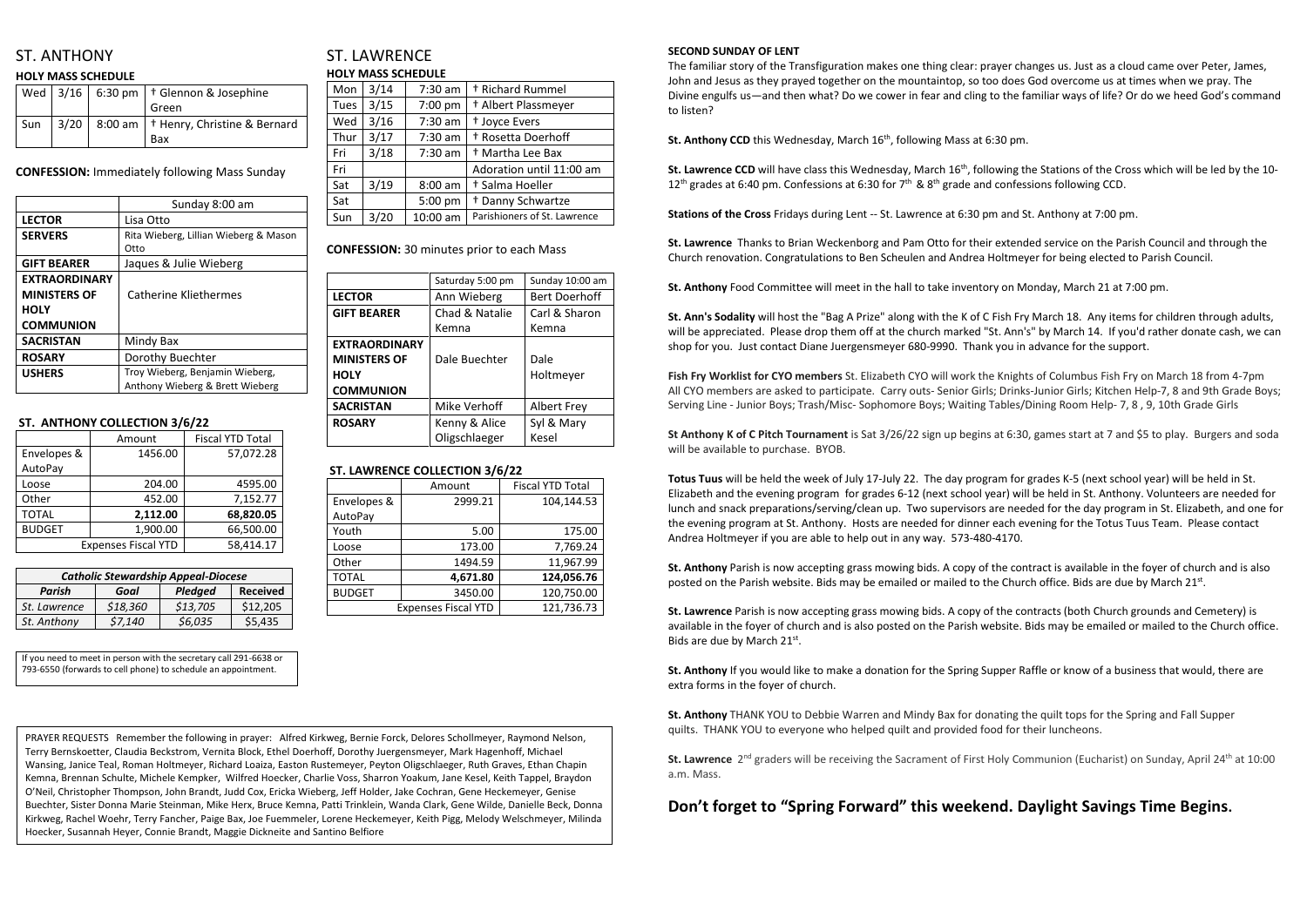## ST. ANTHONY

### **HOLY MASS SCHEDULE**

|  | Wed   $3/16$   6:30 pm   $\dagger$ Glennon & Josephine        |
|--|---------------------------------------------------------------|
|  | Green                                                         |
|  | Sun   $3/20$   8:00 am   $\dagger$ Henry, Christine & Bernard |
|  | Bax                                                           |

**CONFESSION:** Immediately following Mass Sunday

|                      | Sunday 8:00 am                                |  |  |
|----------------------|-----------------------------------------------|--|--|
| <b>LECTOR</b>        | Lisa Otto                                     |  |  |
| <b>SERVERS</b>       | Rita Wieberg, Lillian Wieberg & Mason<br>Otto |  |  |
| <b>GIFT BEARER</b>   | Jaques & Julie Wieberg                        |  |  |
| <b>EXTRAORDINARY</b> |                                               |  |  |
| <b>MINISTERS OF</b>  | <b>Catherine Kliethermes</b>                  |  |  |
| <b>HOLY</b>          |                                               |  |  |
| <b>COMMUNION</b>     |                                               |  |  |
| <b>SACRISTAN</b>     | Mindy Bax                                     |  |  |
| <b>ROSARY</b>        | Dorothy Buechter                              |  |  |
| <b>USHERS</b>        | Troy Wieberg, Benjamin Wieberg,               |  |  |
|                      | Anthony Wieberg & Brett Wieberg               |  |  |

### **ST. ANTHONY COLLECTION 3/6/22**

|               | Amount                     | <b>Fiscal YTD Total</b> |
|---------------|----------------------------|-------------------------|
| Envelopes &   | 1456.00                    | 57,072.28               |
| AutoPay       |                            |                         |
| Loose         | 204.00                     | 4595.00                 |
| Other         | 452.00                     | 7,152.77                |
| <b>TOTAL</b>  | 2,112.00                   | 68,820.05               |
| <b>BUDGET</b> | 1,900.00                   | 66,500.00               |
|               | <b>Expenses Fiscal YTD</b> | 58,414.17               |

## ST. LAWRENCE **HOLY MASS SCHEDULE**

| Mon  | 3/14 | $7:30$ am | † Richard Rummel              |
|------|------|-----------|-------------------------------|
| Tues | 3/15 | 7:00 pm   | † Albert Plassmeyer           |
| Wed  | 3/16 | $7:30$ am | <sup>†</sup> Joyce Evers      |
| Thur | 3/17 | $7:30$ am | <sup>+</sup> Rosetta Doerhoff |
| Fri  | 3/18 | $7:30$ am | <sup>†</sup> Martha Lee Bax   |
| Fri  |      |           | Adoration until 11:00 am      |
| Sat  | 3/19 | 8:00 am   | † Salma Hoeller               |
| Sat  |      | 5:00 pm   | <sup>†</sup> Danny Schwartze  |
| Sun  | 3/20 | 10:00 am  | Parishioners of St. Lawrence  |

**CONFESSION:** 30 minutes prior to each Mass

|                      | Saturday 5:00 pm | Sunday 10:00 am      |  |
|----------------------|------------------|----------------------|--|
| <b>LECTOR</b>        | Ann Wieberg      | <b>Bert Doerhoff</b> |  |
| <b>GIFT BEARER</b>   | Chad & Natalie   | Carl & Sharon        |  |
|                      | Kemna            | Kemna                |  |
| <b>EXTRAORDINARY</b> |                  |                      |  |
| <b>MINISTERS OF</b>  | Dale Buechter    | Dale                 |  |
| <b>HOLY</b>          |                  | Holtmeyer            |  |
| <b>COMMUNION</b>     |                  |                      |  |
| <b>SACRISTAN</b>     | Mike Verhoff     | <b>Albert Frey</b>   |  |
| <b>ROSARY</b>        | Kenny & Alice    | Syl & Mary           |  |
|                      | Oligschlaeger    | Kesel                |  |

## **ST. LAWRENCE COLLECTION 3/6/22**

|               | Amount                     | <b>Fiscal YTD Total</b> |  |
|---------------|----------------------------|-------------------------|--|
| Envelopes &   | 2999.21                    | 104,144.53              |  |
| AutoPay       |                            |                         |  |
| Youth         | 5.00                       | 175.00                  |  |
| Loose         | 173.00                     | 7,769.24                |  |
| Other         | 1494.59                    | 11,967.99               |  |
| <b>TOTAL</b>  | 4,671.80                   | 124,056.76              |  |
| <b>BUDGET</b> | 3450.00                    | 120,750.00              |  |
|               | <b>Expenses Fiscal YTD</b> | 121,736.73              |  |

#### **SECOND SUNDAY OF LENT**

The familiar story of the Transfiguration makes one thing clear: prayer changes us. Just as a cloud came over Peter, James, John and Jesus as they prayed together on the mountaintop, so too does God overcome us at times when we pray. The Divine engulfs us—and then what? Do we cower in fear and cling to the familiar ways of life? Or do we heed God's command to listen?

**St. Anthony CCD** this Wednesday, March 16<sup>th</sup>, following Mass at 6:30 pm.

St. Lawrence CCD will have class this Wednesday, March 16<sup>th</sup>, following the Stations of the Cross which will be led by the 10-12<sup>th</sup> grades at 6:40 pm. Confessions at 6:30 for  $7<sup>th</sup>$  & 8<sup>th</sup> grade and confessions following CCD.

**St. Anthony** Parish is now accepting grass mowing bids. A copy of the contract is available in the foyer of church and is also posted on the Parish website. Bids may be emailed or mailed to the Church office. Bids are due by March 21st.

**St. Lawrence** Parish is now accepting grass mowing bids. A copy of the contracts (both Church grounds and Cemetery) is available in the foyer of church and is also posted on the Parish website. Bids may be emailed or mailed to the Church office. Bids are due by March 21st.

**Stations of the Cross** Fridays during Lent -- St. Lawrence at 6:30 pm and St. Anthony at 7:00 pm.

**St. Lawrence** Thanks to Brian Weckenborg and Pam Otto for their extended service on the Parish Council and through the Church renovation. Congratulations to Ben Scheulen and Andrea Holtmeyer for being elected to Parish Council.

St. Lawrence 2<sup>nd</sup> graders will be receiving the Sacrament of First Holy Communion (Eucharist) on Sunday, April 24<sup>th</sup> at 10:00 a.m. Mass.

**St. Anthony** Food Committee will meet in the hall to take inventory on Monday, March 21 at 7:00 pm.

**St. Ann's Sodality** will host the "Bag A Prize" along with the K of C Fish Fry March 18. Any items for children through adults, will be appreciated. Please drop them off at the church marked "St. Ann's" by March 14. If you'd rather donate cash, we can shop for you. Just contact Diane Juergensmeyer 680-9990. Thank you in advance for the support.

**Fish Fry Worklist for CYO members** St. Elizabeth CYO will work the Knights of Columbus Fish Fry on March 18 from 4-7pm All CYO members are asked to participate. Carry outs- Senior Girls; Drinks-Junior Girls; Kitchen Help-7, 8 and 9th Grade Boys; Serving Line - Junior Boys; Trash/Misc- Sophomore Boys; Waiting Tables/Dining Room Help- 7, 8 , 9, 10th Grade Girls

**St Anthony K of C Pitch Tournament** is Sat 3/26/22 sign up begins at 6:30, games start at 7 and \$5 to play. Burgers and soda will be available to purchase. BYOB.

**Totus Tuus** will be held the week of July 17-July 22. The day program for grades K-5 (next school year) will be held in St. Elizabeth and the evening program for grades 6-12 (next school year) will be held in St. Anthony. Volunteers are needed for lunch and snack preparations/serving/clean up. Two supervisors are needed for the day program in St. Elizabeth, and one for the evening program at St. Anthony. Hosts are needed for dinner each evening for the Totus Tuus Team. Please contact Andrea Holtmeyer if you are able to help out in any way. 573-480-4170.

**St. Anthony** If you would like to make a donation for the Spring Supper Raffle or know of a business that would, there are extra forms in the foyer of church.

**St. Anthony** THANK YOU to Debbie Warren and Mindy Bax for donating the quilt tops for the Spring and Fall Supper quilts. THANK YOU to everyone who helped quilt and provided food for their luncheons.

## **Don't forget to "Spring Forward" this weekend. Daylight Savings Time Begins.**

| <b>Catholic Stewardship Appeal-Diocese</b> |          |          |                 |  |  |
|--------------------------------------------|----------|----------|-----------------|--|--|
| Parish                                     | Goal     | Pledged  | <b>Received</b> |  |  |
| St. Lawrence                               | \$18,360 | \$13,705 | \$12,205        |  |  |
| St. Anthony                                | \$7,140  | \$6,035  | \$5,435         |  |  |

If you need to meet in person with the secretary call 291-6638 or 793-6550 (forwards to cell phone) to schedule an appointment.

PRAYER REQUESTS Remember the following in prayer: Alfred Kirkweg, Bernie Forck, Delores Schollmeyer, Raymond Nelson, Terry Bernskoetter, Claudia Beckstrom, Vernita Block, Ethel Doerhoff, Dorothy Juergensmeyer, Mark Hagenhoff, Michael Wansing, Janice Teal, Roman Holtmeyer, Richard Loaiza, Easton Rustemeyer, Peyton Oligschlaeger, Ruth Graves, Ethan Chapin Kemna, Brennan Schulte, Michele Kempker, Wilfred Hoecker, Charlie Voss, Sharron Yoakum, Jane Kesel, Keith Tappel, Braydon O'Neil, Christopher Thompson, John Brandt, Judd Cox, Ericka Wieberg, Jeff Holder, Jake Cochran, Gene Heckemeyer, Genise Buechter, Sister Donna Marie Steinman, Mike Herx, Bruce Kemna, Patti Trinklein, Wanda Clark, Gene Wilde, Danielle Beck, Donna Kirkweg, Rachel Woehr, Terry Fancher, Paige Bax, Joe Fuemmeler, Lorene Heckemeyer, Keith Pigg, Melody Welschmeyer, Milinda Hoecker, Susannah Heyer, Connie Brandt, Maggie Dickneite and Santino Belfiore